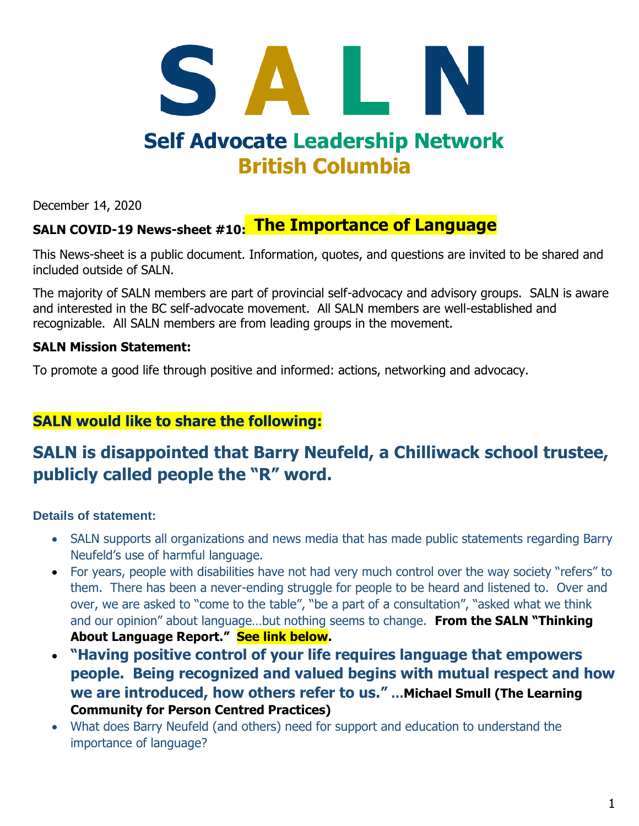# SALI **Self Advocate Leadership Network British Columbia**

December 14, 2020

#### SALN COVID-19 News-sheet #10:<mark> The Importance of Language</mark>

This News-sheet is a public document. Information, quotes, and questions are invited to be shared and included outside of SALN.

The majority of SALN members are part of provincial self-advocacy and advisory groups. SALN is aware and interested in the BC self-advocate movement. All SALN members are well-established and recognizable. All SALN members are from leading groups in the movement.

#### **SALN Mission Statement:**

To promote a good life through positive and informed: actions, networking and advocacy.

#### **SALN would like to share the following:**

#### **SALN is disappointed that Barry Neufeld, a Chilliwack school trustee, publicly called people the "R" word.**

#### **Details of statement:**

- SALN supports all organizations and news media that has made public statements regarding Barry Neufeld's use of harmful language.
- For years, people with disabilities have not had very much control over the way society "refers" to them. There has been a never-ending struggle for people to be heard and listened to. Over and over, we are asked to "come to the table", "be a part of a consultation", "asked what we think and our opinion" about language…but nothing seems to change. **From the SALN "Thinking About Language Report." See link below.**
- **"Having positive control of your life requires language that empowers people. Being recognized and valued begins with mutual respect and how we are introduced, how others refer to us." …Michael Smull (The Learning Community for Person Centred Practices)**
- What does Barry Neufeld (and others) need for support and education to understand the importance of language?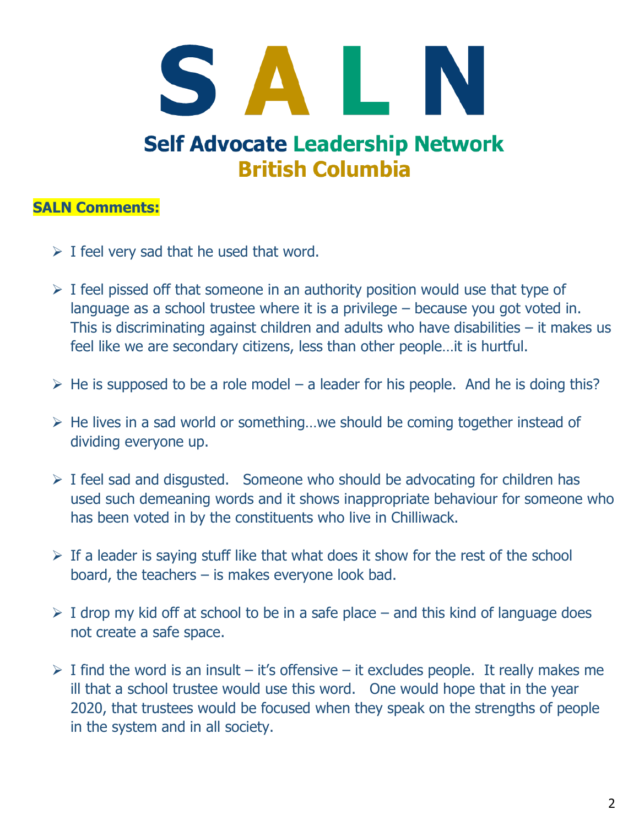## SALN **Self Advocate Leadership Network British Columbia**

## **SALN Comments:**

- $\triangleright$  I feel very sad that he used that word.
- $\triangleright$  I feel pissed off that someone in an authority position would use that type of language as a school trustee where it is a privilege – because you got voted in. This is discriminating against children and adults who have disabilities – it makes us feel like we are secondary citizens, less than other people…it is hurtful.
- $\triangleright$  He is supposed to be a role model a leader for his people. And he is doing this?
- ➢ He lives in a sad world or something…we should be coming together instead of dividing everyone up.
- $\triangleright$  I feel sad and disgusted. Someone who should be advocating for children has used such demeaning words and it shows inappropriate behaviour for someone who has been voted in by the constituents who live in Chilliwack.
- $\triangleright$  If a leader is saying stuff like that what does it show for the rest of the school board, the teachers – is makes everyone look bad.
- $\triangleright$  I drop my kid off at school to be in a safe place and this kind of language does not create a safe space.
- $\triangleright$  I find the word is an insult it's offensive it excludes people. It really makes me ill that a school trustee would use this word. One would hope that in the year 2020, that trustees would be focused when they speak on the strengths of people in the system and in all society.